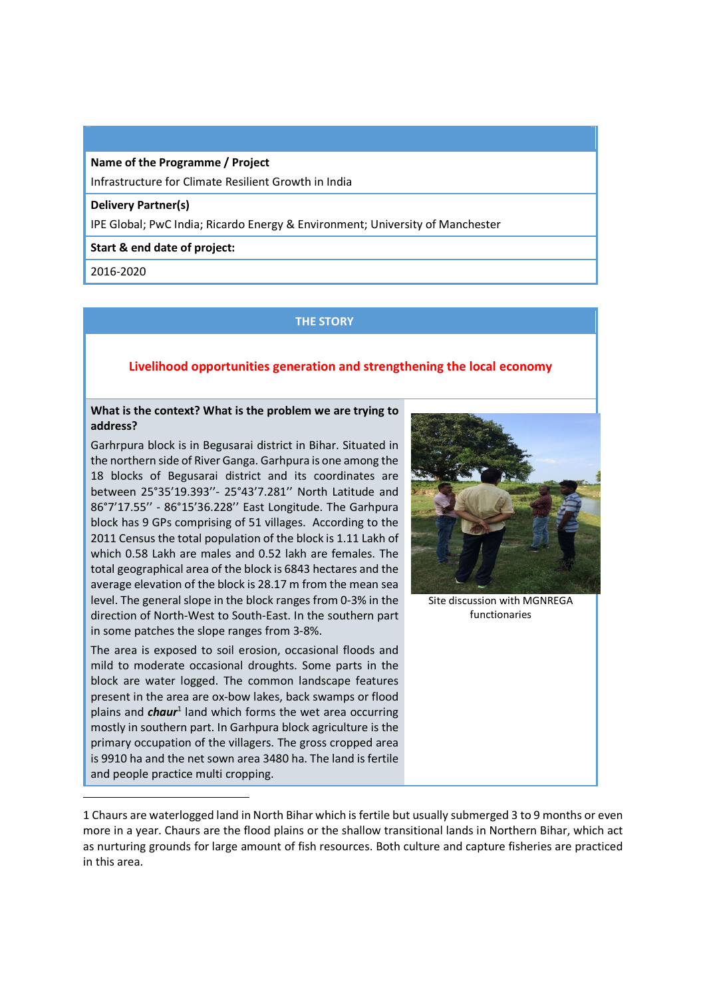**Name of the Programme / Project**  Infrastructure for Climate Resilient Growth in India

## **Delivery Partner(s)**

IPE Global; PwC India; Ricardo Energy & Environment; University of Manchester

#### **Start & end date of project:**

2016-2020

 $\overline{a}$ 

## **THE STORY**

# **Livelihood opportunities generation and strengthening the local economy**

## **What is the context? What is the problem we are trying to address?**

Garhrpura block is in Begusarai district in Bihar. Situated in the northern side of River Ganga. Garhpura is one among the 18 blocks of Begusarai district and its coordinates are between 25°35'19.393''- 25°43'7.281'' North Latitude and 86°7'17.55'' - 86°15'36.228'' East Longitude. The Garhpura block has 9 GPs comprising of 51 villages. According to the 2011 Census the total population of the block is 1.11 Lakh of which 0.58 Lakh are males and 0.52 lakh are females. The total geographical area of the block is 6843 hectares and the average elevation of the block is 28.17 m from the mean sea level. The general slope in the block ranges from 0-3% in the direction of North-West to South-East. In the southern part in some patches the slope ranges from 3-8%.

The area is exposed to soil erosion, occasional floods and mild to moderate occasional droughts. Some parts in the block are water logged. The common landscape features present in the area are ox-bow lakes, back swamps or flood plains and *chaur*<sup>1</sup> land which forms the wet area occurring mostly in southern part. In Garhpura block agriculture is the primary occupation of the villagers. The gross cropped area is 9910 ha and the net sown area 3480 ha. The land is fertile and people practice multi cropping.



Site discussion with MGNREGA functionaries

1 Chaurs are waterlogged land in North Bihar which is fertile but usually submerged 3 to 9 months or even more in a year. Chaurs are the flood plains or the shallow transitional lands in Northern Bihar, which act as nurturing grounds for large amount of fish resources. Both culture and capture fisheries are practiced in this area.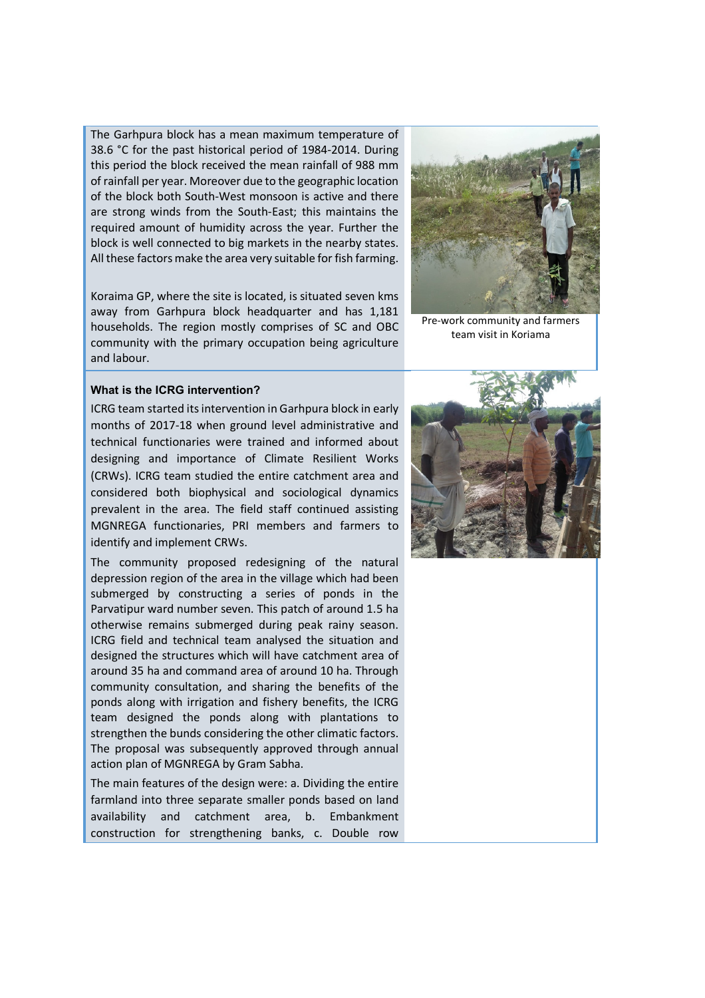The Garhpura block has a mean maximum temperature of 38.6 °C for the past historical period of 1984-2014. During this period the block received the mean rainfall of 988 mm of rainfall per year. Moreover due to the geographic location of the block both South-West monsoon is active and there are strong winds from the South-East; this maintains the required amount of humidity across the year. Further the block is well connected to big markets in the nearby states. All these factors make the area very suitable for fish farming.

Koraima GP, where the site is located, is situated seven kms away from Garhpura block headquarter and has 1,181 households. The region mostly comprises of SC and OBC community with the primary occupation being agriculture and labour.



Pre-work community and farmers team visit in Koriama

## **What is the ICRG intervention?**

ICRG team started its intervention in Garhpura block in early months of 2017-18 when ground level administrative and technical functionaries were trained and informed about designing and importance of Climate Resilient Works (CRWs). ICRG team studied the entire catchment area and considered both biophysical and sociological dynamics prevalent in the area. The field staff continued assisting MGNREGA functionaries, PRI members and farmers to identify and implement CRWs.

The community proposed redesigning of the natural depression region of the area in the village which had been submerged by constructing a series of ponds in the Parvatipur ward number seven. This patch of around 1.5 ha otherwise remains submerged during peak rainy season. ICRG field and technical team analysed the situation and designed the structures which will have catchment area of around 35 ha and command area of around 10 ha. Through community consultation, and sharing the benefits of the ponds along with irrigation and fishery benefits, the ICRG team designed the ponds along with plantations to strengthen the bunds considering the other climatic factors. The proposal was subsequently approved through annual action plan of MGNREGA by Gram Sabha.

The main features of the design were: a. Dividing the entire farmland into three separate smaller ponds based on land availability and catchment area, b. Embankment construction for strengthening banks, c. Double row

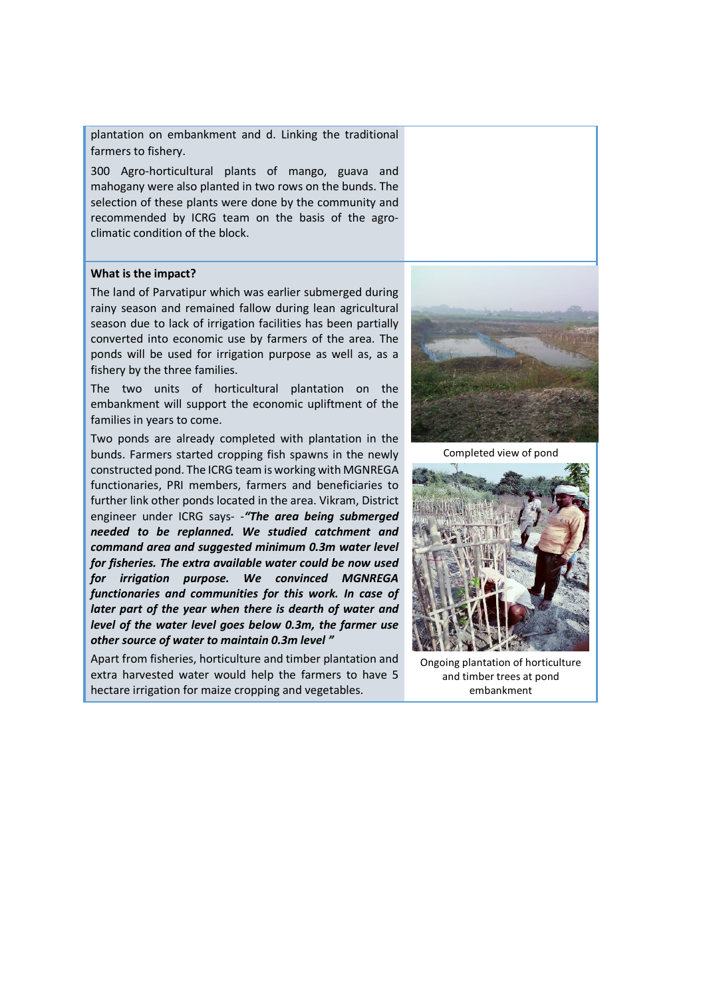plantation on embankment and d. Linking the traditional farmers to fishery.

300 Agro-horticultural plants of mango, guava and mahogany were also planted in two rows on the bunds. The selection of these plants were done by the community and recommended by ICRG team on the basis of the agroclimatic condition of the block.

## **What is the impact?**

The land of Parvatipur which was earlier submerged during rainy season and remained fallow during lean agricultural season due to lack of irrigation facilities has been partially converted into economic use by farmers of the area. The ponds will be used for irrigation purpose as well as, as a fishery by the three families.

The two units of horticultural plantation on the embankment will support the economic upliftment of the families in years to come.

Two ponds are already completed with plantation in the bunds. Farmers started cropping fish spawns in the newly constructed pond. The ICRG team is working with MGNREGA functionaries, PRI members, farmers and beneficiaries to further link other ponds located in the area. Vikram, District engineer under ICRG says- -*"The area being submerged needed to be replanned. We studied catchment and command area and suggested minimum 0.3m water level for fisheries. The extra available water could be now used for irrigation purpose. We convinced MGNREGA functionaries and communities for this work. In case of later part of the year when there is dearth of water and level of the water level goes below 0.3m, the farmer use other source of water to maintain 0.3m level "*

Apart from fisheries, horticulture and timber plantation and extra harvested water would help the farmers to have 5 hectare irrigation for maize cropping and vegetables.



Completed view of pond



Ongoing plantation of horticulture and timber trees at pond embankment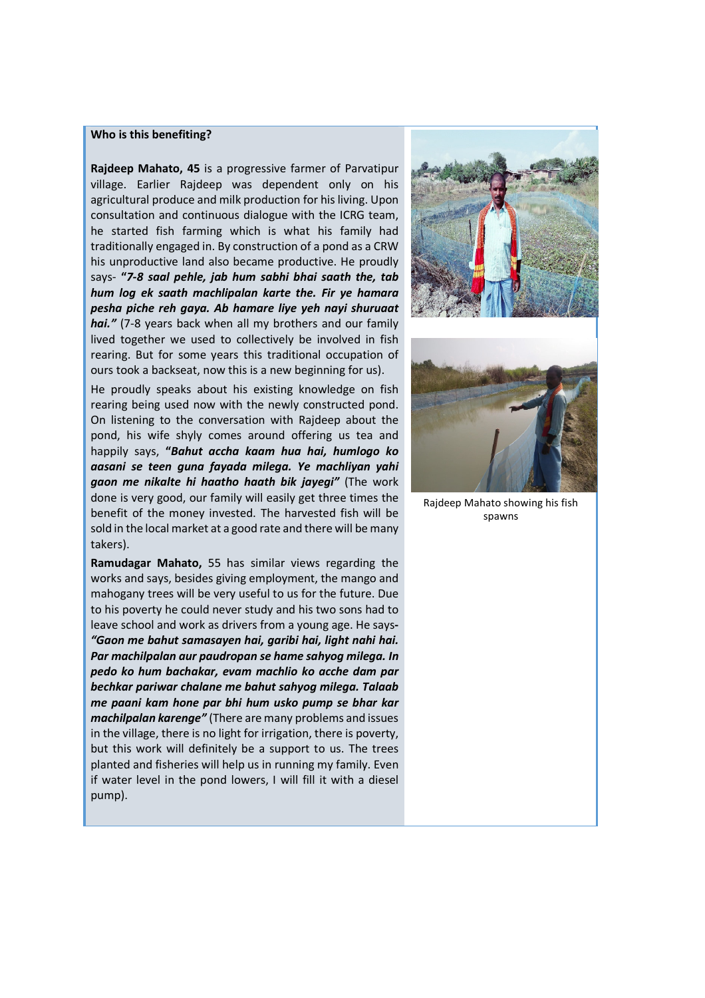#### **Who is this benefiting?**

**Rajdeep Mahato, 45** is a progressive farmer of Parvatipur village. Earlier Rajdeep was dependent only on his agricultural produce and milk production for his living. Upon consultation and continuous dialogue with the ICRG team, he started fish farming which is what his family had traditionally engaged in. By construction of a pond as a CRW his unproductive land also became productive. He proudly says- **"***7-8 saal pehle, jab hum sabhi bhai saath the, tab hum log ek saath machlipalan karte the. Fir ye hamara pesha piche reh gaya. Ab hamare liye yeh nayi shuruaat hai."* (7-8 years back when all my brothers and our family lived together we used to collectively be involved in fish rearing. But for some years this traditional occupation of ours took a backseat, now this is a new beginning for us).

He proudly speaks about his existing knowledge on fish rearing being used now with the newly constructed pond. On listening to the conversation with Rajdeep about the pond, his wife shyly comes around offering us tea and happily says, **"***Bahut accha kaam hua hai, humlogo ko aasani se teen guna fayada milega. Ye machliyan yahi gaon me nikalte hi haatho haath bik jayegi"* (The work done is very good, our family will easily get three times the benefit of the money invested. The harvested fish will be sold in the local market at a good rate and there will be many takers).

**Ramudagar Mahato,** 55 has similar views regarding the works and says, besides giving employment, the mango and mahogany trees will be very useful to us for the future. Due to his poverty he could never study and his two sons had to leave school and work as drivers from a young age. He says**-** *"Gaon me bahut samasayen hai, garibi hai, light nahi hai. Par machilpalan aur paudropan se hame sahyog milega. In pedo ko hum bachakar, evam machlio ko acche dam par bechkar pariwar chalane me bahut sahyog milega. Talaab me paani kam hone par bhi hum usko pump se bhar kar machilpalan karenge"* (There are many problems and issues in the village, there is no light for irrigation, there is poverty, but this work will definitely be a support to us. The trees planted and fisheries will help us in running my family. Even if water level in the pond lowers, I will fill it with a diesel pump).





Rajdeep Mahato showing his fish spawns